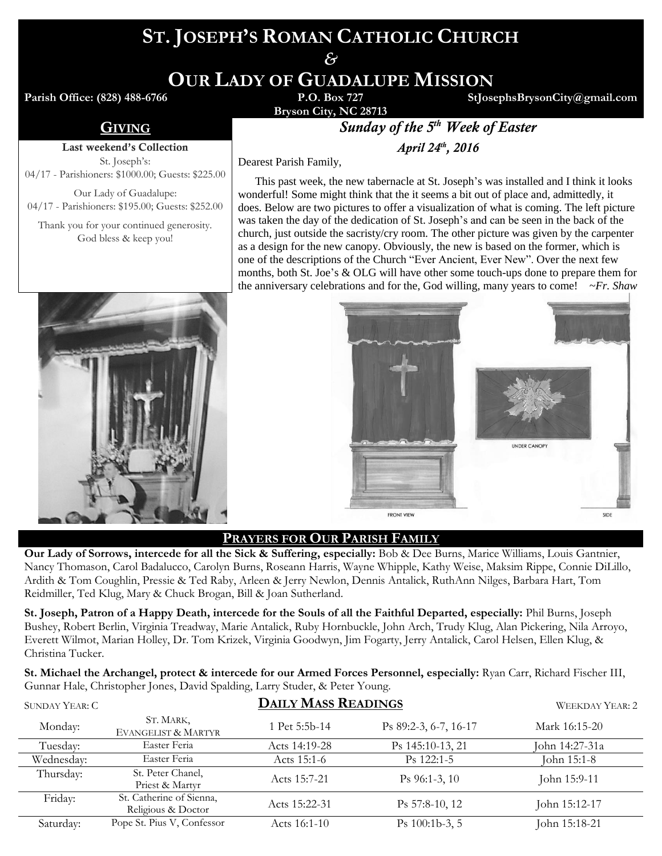# **ST. JOSEPH'S ROMAN CATHOLIC CHURCH**

*&*

**OUR LADY OF GUADALUPE MISSION**

**Parish Office: (828) 488-6766** 

**StJosephsBrysonCity@gmail.com**

## Last weekend's Collection

St. Joseph's: 04/17 - Parishioners: \$1000.00; Guests: \$225.00

Our Lady of Guadalupe: 04/17 - Parishioners: \$195.00; Guests: \$252.00

Thank you for your continued generosity. God bless & keep you!



**Bryson City, NC 28713**

**GIVING** *Sunday of the 5<sup>th</sup> Week of Easter* 

*, 2016*

Dearest Parish Family,

 This past week, the new tabernacle at St. Joseph's was installed and I think it looks wonderful! Some might think that the it seems a bit out of place and, admittedly, it does. Below are two pictures to offer a visualization of what is coming. The left picture was taken the day of the dedication of St. Joseph's and can be seen in the back of the church, just outside the sacristy/cry room. The other picture was given by the carpenter as a design for the new canopy. Obviously, the new is based on the former, which is one of the descriptions of the Church "Ever Ancient, Ever New". Over the next few months, both St. Joe's & OLG will have other some touch-ups done to prepare them for the anniversary celebrations and for the, God willing, many years to come! *~Fr. Shaw*



## **PRAYERS FOR OUR PARISH FAMILY**

**Our Lady of Sorrows, intercede for all the Sick & Suffering, especially:** Bob & Dee Burns, Marice Williams, Louis Gantnier, Nancy Thomason, Carol Badalucco, Carolyn Burns, Roseann Harris, Wayne Whipple, Kathy Weise, Maksim Rippe, Connie DiLillo, Ardith & Tom Coughlin, Pressie & Ted Raby, Arleen & Jerry Newlon, Dennis Antalick, RuthAnn Nilges, Barbara Hart, Tom Reidmiller, Ted Klug, Mary & Chuck Brogan, Bill & Joan Sutherland.

**St. Joseph, Patron of a Happy Death, intercede for the Souls of all the Faithful Departed, especially:** Phil Burns, Joseph Bushey, Robert Berlin, Virginia Treadway, Marie Antalick, Ruby Hornbuckle, John Arch, Trudy Klug, Alan Pickering, Nila Arroyo, Everett Wilmot, Marian Holley, Dr. Tom Krizek, Virginia Goodwyn, Jim Fogarty, Jerry Antalick, Carol Helsen, Ellen Klug, & Christina Tucker.

**St. Michael the Archangel, protect & intercede for our Armed Forces Personnel, especially:** Ryan Carr, Richard Fischer III, Gunnar Hale, Christopher Jones, David Spalding, Larry Studer, & Peter Young.

| SUNDAY YEAR: C | <b>DAILY MASS READINGS</b>                     |               |                       | WEEKDAY YEAR: 2 |
|----------------|------------------------------------------------|---------------|-----------------------|-----------------|
| Monday:        | ST. MARK,<br>EVANGELIST & MARTYR               | 1 Pet 5:5b-14 | Ps 89:2-3, 6-7, 16-17 | Mark 16:15-20   |
| Tuesday:       | Easter Feria                                   | Acts 14:19-28 | Ps 145:10-13, 21      | John 14:27-31a  |
| Wednesday:     | Easter Feria                                   | Acts 15:1-6   | $Ps$ 122:1-5          | John 15:1-8     |
| Thursday:      | St. Peter Chanel,<br>Priest & Martyr           | Acts 15:7-21  | $Ps$ 96:1-3, 10       | John 15:9-11    |
| Friday:        | St. Catherine of Sienna,<br>Religious & Doctor | Acts 15:22-31 | Ps 57:8-10, 12        | John 15:12-17   |
| Saturday:      | Pope St. Pius V, Confessor                     | Acts 16:1-10  | Ps $100:1b-3, 5$      | John 15:18-21   |